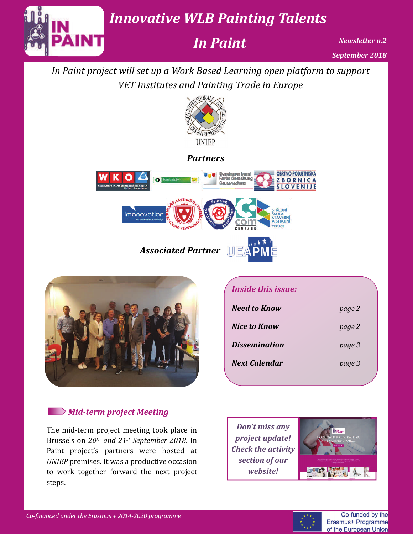*Innovative WLB Painting Talents*

*In Paint*

*Newsletter n.2 September 2018*

*In Paint project will set up a Work Based Learning open platform to support VET Institutes and Painting Trade in Europe*



#### *Partners*





### *Mid‐term project Meeting*

The mid-term project meeting took place in Brussels on *20th and 21st September 2018*. In Paint project's partners were hosted at *UNIEP* premises. It was a productive occasion to work together forward the next project steps. 

#### *Inside this issue:*

| <b>Need to Know</b>  | page 2 |
|----------------------|--------|
| Nice to Know         | page 2 |
| <b>Dissemination</b> | page 3 |
| <b>Next Calendar</b> | page 3 |

*Don't miss any project update! Check the activity section of our website!*



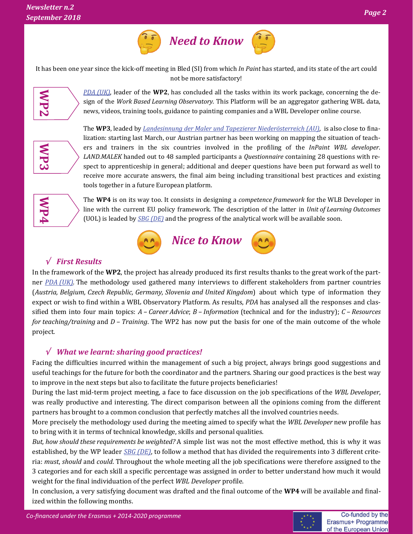

It has been one year since the kick-off meeting in Bled (SI) from which *In Paint* has started, and its state of the art could not be more satisfactory!



*PDA [\(UK\)](https://www.paintingdecoratingassociation.co.uk/)*, leader of the **WP2**, has concluded all the tasks within its work package, concerning the design of the *Work Based Learning Observatory*. This Platform will be an aggregator gathering WBL data, news, videos, training tools, guidance to painting companies and a WBL Developer online course.



**The WP3**, leaded by *Landesinnung der Maler und Tapezierer [Niederösterreich](https://www.wko.at/) (AU)*, is also close to finalization: starting last March, our Austrian partner has been working on mapping the situation of teachers and trainers in the six countries involved in the profiling of the *InPaint WBL developer*. *LAND.MALEK* handed out to 48 sampled participants a *Questionnaire* containing 28 questions with respect to apprenticeship in general; additional and deeper questions have been put forward as well to receive more accurate answers, the final aim being including transitional best practices and existing tools together in a future European platform.



The WP4 is on its way too. It consists in designing a *competence framework* for the WLB Developer in line with the current EU policy framework. The description of the latter in *Unit of Learning Outcomes* (UOL) is leaded by *SBG* (*DE*) and the progress of the analytical work will be available soon.



#### *First Results*

In the framework of the **WP2**, the project has already produced its first results thanks to the great work of the partner *PDA [\(UK\)](https://www.paintingdecoratingassociation.co.uk/)*. The methodology used gathered many interviews to different stakeholders from partner countries (*Austria, Belgium, Czech Republic, Germany, Slovenia and United Kingdom*) about which type of information they expect or wish to find within a WBL Observatory Platform. As results, *PDA* has analysed all the responses and classified them into four main topics:  $A$  – *Career Advice*;  $B$  – *Information* (technical and for the industry);  $C$  – *Resources for teaching/training* and *D* – *Training*. The WP2 has now put the basis for one of the main outcome of the whole project. 

#### *What we learnt: sharing good practices!*

Facing the difficulties incurred within the management of such a big project, always brings good suggestions and useful teachings for the future for both the coordinator and the partners. Sharing our good practices is the best way to improve in the next steps but also to facilitate the future projects beneficiaries!

During the last mid-term project meeting, a face to face discussion on the job specifications of the *WBL Developer*, was really productive and interesting. The direct comparison between all the opinions coming from the different partners has brought to a common conclusion that perfectly matches all the involved countries needs.

More precisely the methodology used during the meeting aimed to specify what the *WBL Developer* new profile has to bring with it in terms of technical knowledge, skills and personal qualities.

*But, how should these requirements be weighted?* A simple list was not the most effective method, this is why it was established, by the WP leader *SBG* (*DE*), to follow a method that has divided the requirements into 3 different criteria: *must*, *should* and *could*. Throughout the whole meeting all the job specifications were therefore assigned to the 3 categories and for each skill a specific percentage was assigned in order to better understand how much it would weight for the final individuation of the perfect *WBL Developer* profile.

In conclusion, a very satisfying document was drafted and the final outcome of the WP4 will be available and finalized within the following months.